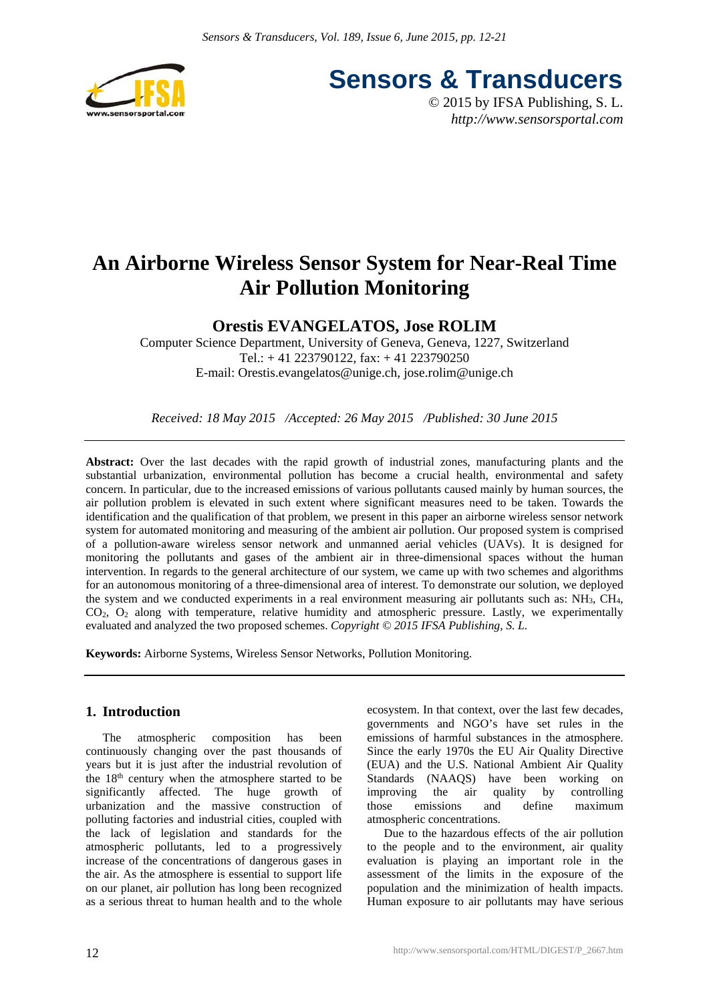

**Sensors & Transducers**

© 2015 by IFSA Publishing, S. L. *http://www.sensorsportal.com*

# **An Airborne Wireless Sensor System for Near-Real Time Air Pollution Monitoring**

# **Orestis EVANGELATOS, Jose ROLIM**

Computer Science Department, University of Geneva, Geneva, 1227, Switzerland Tel.: + 41 223790122, fax: + 41 223790250 E-mail: Orestis.evangelatos@unige.ch, jose.rolim@unige.ch

*Received: 18 May 2015 /Accepted: 26 May 2015 /Published: 30 June 2015*

Abstract: Over the last decades with the rapid growth of industrial zones, manufacturing plants and the substantial urbanization, environmental pollution has become a crucial health, environmental and safety concern. In particular, due to the increased emissions of various pollutants caused mainly by human sources, the air pollution problem is elevated in such extent where significant measures need to be taken. Towards the identification and the qualification of that problem, we present in this paper an airborne wireless sensor network system for automated monitoring and measuring of the ambient air pollution. Our proposed system is comprised of a pollution-aware wireless sensor network and unmanned aerial vehicles (UAVs). It is designed for monitoring the pollutants and gases of the ambient air in three-dimensional spaces without the human intervention. In regards to the general architecture of our system, we came up with two schemes and algorithms for an autonomous monitoring of a three-dimensional area of interest. To demonstrate our solution, we deployed the system and we conducted experiments in a real environment measuring air pollutants such as: NH3, CH4, CO2, O2 along with temperature, relative humidity and atmospheric pressure. Lastly, we experimentally evaluated and analyzed the two proposed schemes. *Copyright © 2015 IFSA Publishing, S. L.*

**Keywords:** Airborne Systems, Wireless Sensor Networks, Pollution Monitoring.

# **1. Introduction**

The atmospheric composition has been continuously changing over the past thousands of years but it is just after the industrial revolution of the  $18<sup>th</sup>$  century when the atmosphere started to be significantly affected. The huge growth of urbanization and the massive construction of polluting factories and industrial cities, coupled with the lack of legislation and standards for the atmospheric pollutants, led to a progressively increase of the concentrations of dangerous gases in the air. As the atmosphere is essential to support life on our planet, air pollution has long been recognized as a serious threat to human health and to the whole

ecosystem. In that context, over the last few decades, governments and NGO's have set rules in the emissions of harmful substances in the atmosphere. Since the early 1970s the EU Air Quality Directive (EUA) and the U.S. National Ambient Air Quality Standards (NAAQS) have been working on improving the air quality by controlling those emissions and define maximum atmospheric concentrations.

Due to the hazardous effects of the air pollution to the people and to the environment, air quality evaluation is playing an important role in the assessment of the limits in the exposure of the population and the minimization of health impacts. Human exposure to air pollutants may have serious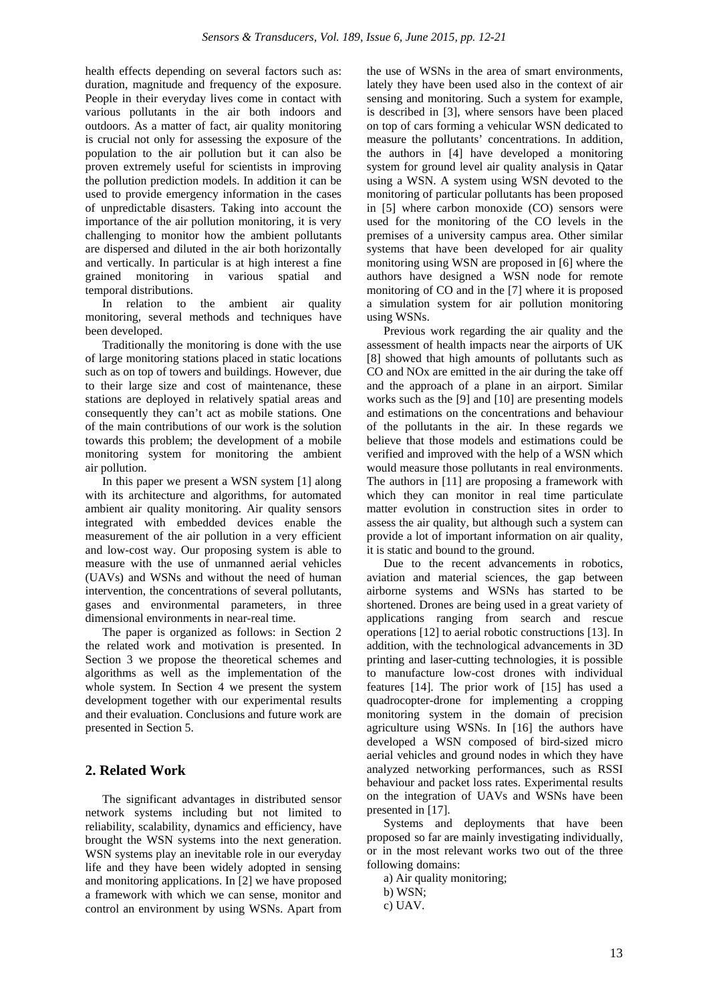health effects depending on several factors such as: duration, magnitude and frequency of the exposure. People in their everyday lives come in contact with various pollutants in the air both indoors and outdoors. As a matter of fact, air quality monitoring is crucial not only for assessing the exposure of the population to the air pollution but it can also be proven extremely useful for scientists in improving the pollution prediction models. In addition it can be used to provide emergency information in the cases of unpredictable disasters. Taking into account the importance of the air pollution monitoring, it is very challenging to monitor how the ambient pollutants are dispersed and diluted in the air both horizontally and vertically. In particular is at high interest a fine grained monitoring in various spatial and temporal distributions.

In relation to the ambient air quality monitoring, several methods and techniques have been developed.

Traditionally the monitoring is done with the use of large monitoring stations placed in static locations such as on top of towers and buildings. However, due to their large size and cost of maintenance, these stations are deployed in relatively spatial areas and consequently they can't act as mobile stations. One of the main contributions of our work is the solution towards this problem; the development of a mobile monitoring system for monitoring the ambient air pollution.

In this paper we present a WSN system [1] along with its architecture and algorithms, for automated ambient air quality monitoring. Air quality sensors integrated with embedded devices enable the measurement of the air pollution in a very efficient and low-cost way. Our proposing system is able to measure with the use of unmanned aerial vehicles (UAVs) and WSNs and without the need of human intervention, the concentrations of several pollutants, gases and environmental parameters, in three dimensional environments in near-real time.

The paper is organized as follows: in Section 2 the related work and motivation is presented. In Section 3 we propose the theoretical schemes and algorithms as well as the implementation of the whole system. In Section 4 we present the system development together with our experimental results and their evaluation. Conclusions and future work are presented in Section 5.

# **2. Related Work**

The significant advantages in distributed sensor network systems including but not limited to reliability, scalability, dynamics and efficiency, have brought the WSN systems into the next generation. WSN systems play an inevitable role in our everyday life and they have been widely adopted in sensing and monitoring applications. In [2] we have proposed a framework with which we can sense, monitor and control an environment by using WSNs. Apart from the use of WSNs in the area of smart environments, lately they have been used also in the context of air sensing and monitoring. Such a system for example, is described in [3], where sensors have been placed on top of cars forming a vehicular WSN dedicated to measure the pollutants' concentrations. In addition, the authors in [4] have developed a monitoring system for ground level air quality analysis in Qatar using a WSN. A system using WSN devoted to the monitoring of particular pollutants has been proposed in [5] where carbon monoxide (CO) sensors were used for the monitoring of the CO levels in the premises of a university campus area. Other similar systems that have been developed for air quality monitoring using WSN are proposed in [6] where the authors have designed a WSN node for remote monitoring of CO and in the [7] where it is proposed a simulation system for air pollution monitoring using WSNs.

Previous work regarding the air quality and the assessment of health impacts near the airports of UK [8] showed that high amounts of pollutants such as CO and NOx are emitted in the air during the take off and the approach of a plane in an airport. Similar works such as the [9] and [10] are presenting models and estimations on the concentrations and behaviour of the pollutants in the air. In these regards we believe that those models and estimations could be verified and improved with the help of a WSN which would measure those pollutants in real environments. The authors in [11] are proposing a framework with which they can monitor in real time particulate matter evolution in construction sites in order to assess the air quality, but although such a system can provide a lot of important information on air quality, it is static and bound to the ground.

Due to the recent advancements in robotics, aviation and material sciences, the gap between airborne systems and WSNs has started to be shortened. Drones are being used in a great variety of applications ranging from search and rescue operations [12] to aerial robotic constructions [13]. In addition, with the technological advancements in 3D printing and laser-cutting technologies, it is possible to manufacture low-cost drones with individual features [14]. The prior work of [15] has used a quadrocopter-drone for implementing a cropping monitoring system in the domain of precision agriculture using WSNs. In [16] the authors have developed a WSN composed of bird-sized micro aerial vehicles and ground nodes in which they have analyzed networking performances, such as RSSI behaviour and packet loss rates. Experimental results on the integration of UAVs and WSNs have been presented in [17].

Systems and deployments that have been proposed so far are mainly investigating individually, or in the most relevant works two out of the three following domains:

a) Air quality monitoring;

b) WSN;

c) UAV.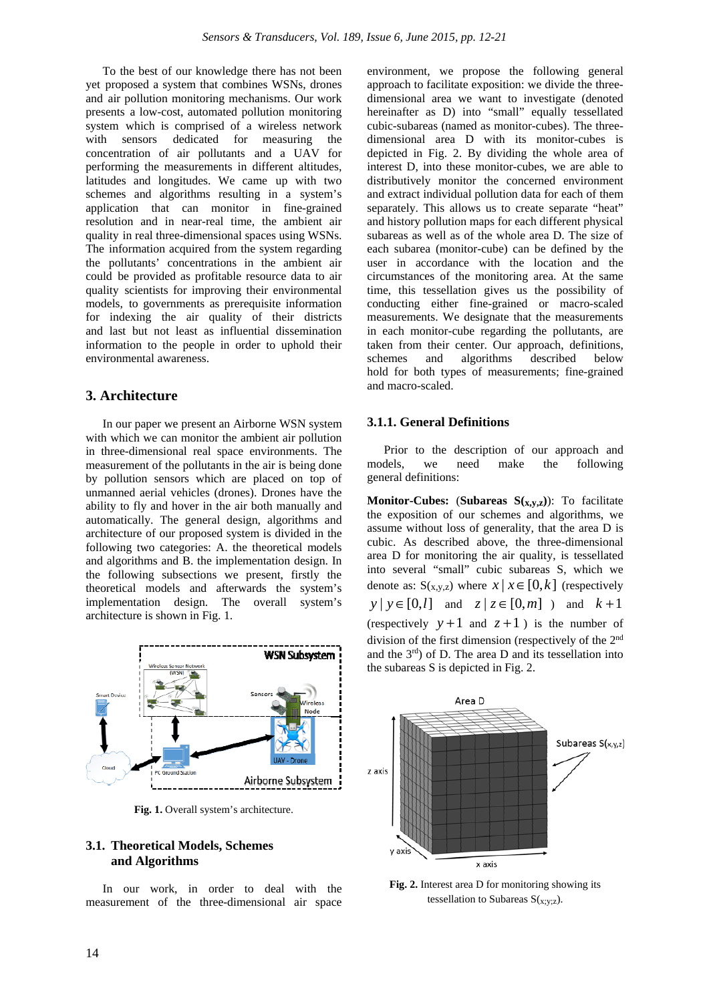To the best of our knowledge there has not been yet proposed a system that combines WSNs, drones and air pollution monitoring mechanisms. Our work presents a low-cost, automated pollution monitoring system which is comprised of a wireless network with sensors dedicated for measuring the concentration of air pollutants and a UAV for performing the measurements in different altitudes, latitudes and longitudes. We came up with two schemes and algorithms resulting in a system's application that can monitor in fine-grained resolution and in near-real time, the ambient air quality in real three-dimensional spaces using WSNs. The information acquired from the system regarding the pollutants' concentrations in the ambient air could be provided as profitable resource data to air quality scientists for improving their environmental models, to governments as prerequisite information for indexing the air quality of their districts and last but not least as influential dissemination information to the people in order to uphold their environmental awareness.

# **3. Architecture**

In our paper we present an Airborne WSN system with which we can monitor the ambient air pollution in three-dimensional real space environments. The measurement of the pollutants in the air is being done by pollution sensors which are placed on top of unmanned aerial vehicles (drones). Drones have the ability to fly and hover in the air both manually and automatically. The general design, algorithms and architecture of our proposed system is divided in the following two categories: A. the theoretical models and algorithms and B. the implementation design. In the following subsections we present, firstly the theoretical models and afterwards the system's implementation design. The overall system's architecture is shown in Fig. 1.



**Fig. 1.** Overall system's architecture.

# **3.1. Theoretical Models, Schemes and Algorithms**

In our work, in order to deal with the measurement of the three-dimensional air space environment, we propose the following general approach to facilitate exposition: we divide the threedimensional area we want to investigate (denoted hereinafter as D) into "small" equally tessellated cubic-subareas (named as monitor-cubes). The threedimensional area D with its monitor-cubes is depicted in Fig. 2. By dividing the whole area of interest D, into these monitor-cubes, we are able to distributively monitor the concerned environment and extract individual pollution data for each of them separately. This allows us to create separate "heat" and history pollution maps for each different physical subareas as well as of the whole area D. The size of each subarea (monitor-cube) can be defined by the user in accordance with the location and the circumstances of the monitoring area. At the same time, this tessellation gives us the possibility of conducting either fine-grained or macro-scaled measurements. We designate that the measurements in each monitor-cube regarding the pollutants, are taken from their center. Our approach, definitions, schemes and algorithms described below hold for both types of measurements; fine-grained and macro-scaled.

# **3.1.1. General Definitions**

Prior to the description of our approach and models, we need make the following general definitions:

**Monitor-Cubes:** (**Subareas**  $S(x,y,z)$ ): To facilitate the exposition of our schemes and algorithms, we assume without loss of generality, that the area D is cubic. As described above, the three-dimensional area D for monitoring the air quality, is tessellated into several "small" cubic subareas S, which we denote as:  $S(x,y,z)$  where  $x \mid x \in [0,k]$  (respectively *y* | *y* ∈ [0,*l*] and *z* | *z* ∈ [0,*m*] ) and *k* +1 (respectively  $y+1$  and  $z+1$ ) is the number of division of the first dimension (respectively of the 2nd and the 3rd) of D. The area D and its tessellation into the subareas S is depicted in Fig. 2.



**Fig. 2.** Interest area D for monitoring showing its tessellation to Subareas  $S(x,y;z)$ .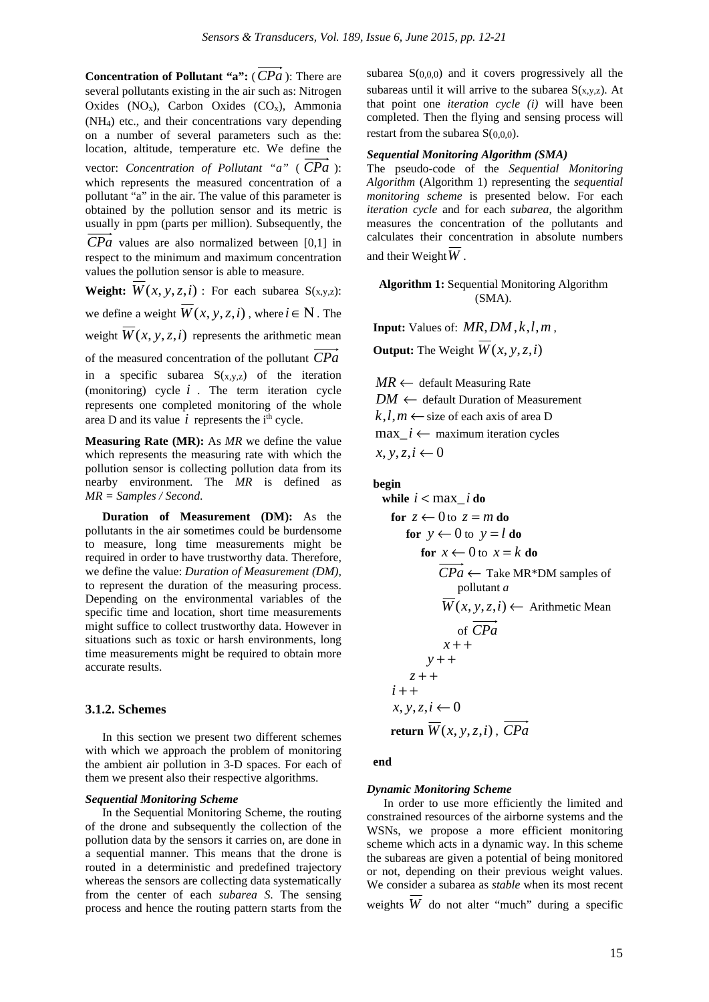**Concentration of Pollutant "a":** (*CPa* ): There are several pollutants existing in the air such as: Nitrogen Oxides  $(NO<sub>x</sub>)$ , Carbon Oxides  $(CO<sub>x</sub>)$ , Ammonia (NH4) etc., and their concentrations vary depending on a number of several parameters such as the: location, altitude, temperature etc. We define the vector: *Concentration of Pollutant "a"* ( *CPa* ): which represents the measured concentration of a pollutant "a" in the air. The value of this parameter is obtained by the pollution sensor and its metric is usually in ppm (parts per million). Subsequently, the *CPa* values are also normalized between [0,1] in

respect to the minimum and maximum concentration values the pollution sensor is able to measure.

**Weight:**  $\overline{W}(x, y, z, i)$ : For each subarea S(x,y,z):

we define a weight  $\overline{W}(x, y, z, i)$ , where  $i \in \mathbb{N}$ . The

weight  $\overline{W}(x, y, z, i)$  represents the arithmetic mean

of the measured concentration of the pollutant *CPa* in a specific subarea  $S(x,y,z)$  of the iteration (monitoring) cycle  $i$ . The term iteration cycle represents one completed monitoring of the whole area D and its value  $i$  represents the  $i<sup>th</sup>$  cycle.

**Measuring Rate (MR):** As *MR* we define the value which represents the measuring rate with which the pollution sensor is collecting pollution data from its nearby environment. The *MR* is defined as *MR = Samples / Second*.

**Duration of Measurement (DM):** As the pollutants in the air sometimes could be burdensome to measure, long time measurements might be required in order to have trustworthy data. Therefore, we define the value: *Duration of Measurement (DM),* to represent the duration of the measuring process. Depending on the environmental variables of the specific time and location, short time measurements might suffice to collect trustworthy data. However in situations such as toxic or harsh environments, long time measurements might be required to obtain more accurate results.

# **3.1.2. Schemes**

In this section we present two different schemes with which we approach the problem of monitoring the ambient air pollution in 3-D spaces. For each of them we present also their respective algorithms.

#### *Sequential Monitoring Scheme*

In the Sequential Monitoring Scheme, the routing of the drone and subsequently the collection of the pollution data by the sensors it carries on, are done in a sequential manner. This means that the drone is routed in a deterministic and predefined trajectory whereas the sensors are collecting data systematically from the center of each *subarea S*. The sensing process and hence the routing pattern starts from the subarea  $S(0,0,0)$  and it covers progressively all the subareas until it will arrive to the subarea  $S(x,y,z)$ . At that point one *iteration cycle (i)* will have been completed. Then the flying and sensing process will restart from the subarea S(0,0,0).

# *Sequential Monitoring Algorithm (SMA)*

The pseudo-code of the *Sequential Monitoring Algorithm* (Algorithm 1) representing the *sequential monitoring scheme* is presented below. For each *iteration cycle* and for each *subarea*, the algorithm measures the concentration of the pollutants and calculates their concentration in absolute numbers and their Weight*W* .

**Algorithm 1:** Sequential Monitoring Algorithm (SMA).

**Input:** Values of: *MR*,*DM* ,*k*,*l*,*m* , **Output:** The Weight  $\overline{W}(x, y, z, i)$ 

 $MR \leftarrow$  default Measuring Rate  $DM \leftarrow$  default Duration of Measurement  $k,l,m \leftarrow$  size of each axis of area D  $\max_i i \leftarrow$  maximum iteration cycles  $x, y, z, i$  ← 0

# **begin**

**while**  $i < max$  *i* **do for**  $z \leftarrow 0$  to  $z = m$  **do for**  $y \leftarrow 0$  to  $y = l$  **do for**  $x \leftarrow 0$  to  $x = k$  **do**  $\overrightarrow{CPa} \leftarrow$  Take MR\*DM samples of pollutant *a*  $\overline{W}(x, y, z, i)$  ← Arithmetic Mean of *CPa*  $x + +$ *y* + + *z* + +  $i + +$ *x*, *y*,*z*,*i* ← 0  **return**  $\overrightarrow{W}(x, y, z, i)$ ,  $\overrightarrow{CPa}$ 

**end**

#### *Dynamic Monitoring Scheme*

In order to use more efficiently the limited and constrained resources of the airborne systems and the WSNs, we propose a more efficient monitoring scheme which acts in a dynamic way. In this scheme the subareas are given a potential of being monitored or not, depending on their previous weight values. We consider a subarea as *stable* when its most recent weights *W* do not alter "much" during a specific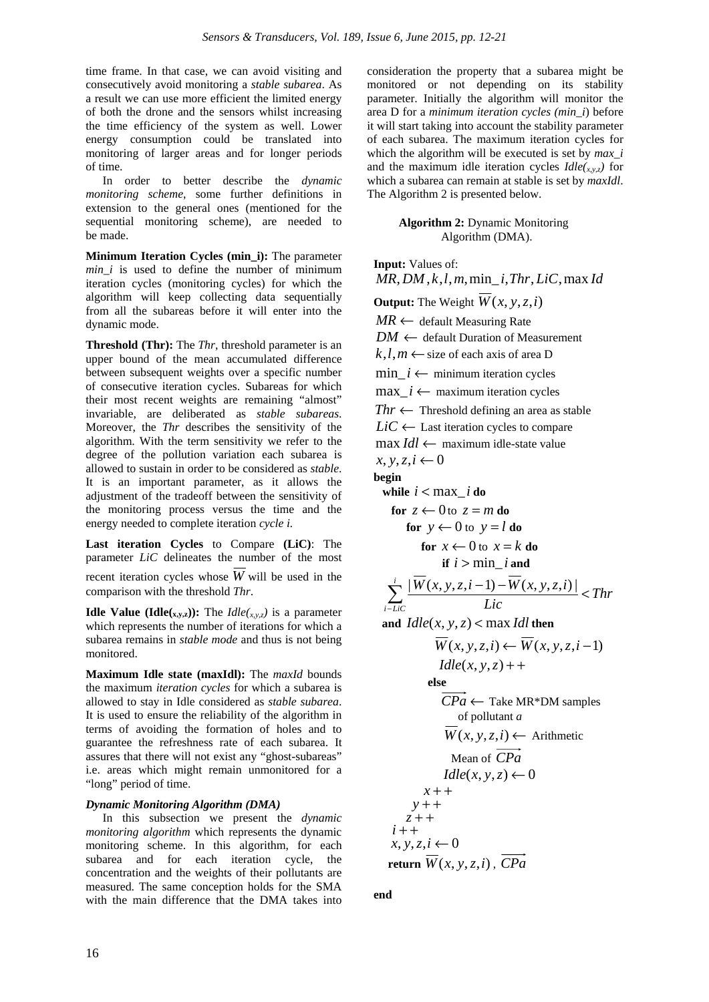time frame. In that case, we can avoid visiting and consecutively avoid monitoring a *stable subarea*. As a result we can use more efficient the limited energy of both the drone and the sensors whilst increasing the time efficiency of the system as well. Lower energy consumption could be translated into monitoring of larger areas and for longer periods of time.

In order to better describe the *dynamic monitoring scheme*, some further definitions in extension to the general ones (mentioned for the sequential monitoring scheme), are needed to be made.

**Minimum Iteration Cycles (min\_i):** The parameter *min\_i* is used to define the number of minimum iteration cycles (monitoring cycles) for which the algorithm will keep collecting data sequentially from all the subareas before it will enter into the dynamic mode.

**Threshold (Thr):** The *Thr*, threshold parameter is an upper bound of the mean accumulated difference between subsequent weights over a specific number of consecutive iteration cycles. Subareas for which their most recent weights are remaining "almost" invariable, are deliberated as *stable subareas*. Moreover, the *Thr* describes the sensitivity of the algorithm. With the term sensitivity we refer to the degree of the pollution variation each subarea is allowed to sustain in order to be considered as *stable*. It is an important parameter, as it allows the adjustment of the tradeoff between the sensitivity of the monitoring process versus the time and the energy needed to complete iteration *cycle i.*

**Last iteration Cycles** to Compare **(LiC)**: The parameter *LiC* delineates the number of the most recent iteration cycles whose  $\overline{W}$  will be used in the comparison with the threshold *Thr*.

**Idle Value (Idle(x,y,z)):** The *Idle*(x,y,z) is a parameter which represents the number of iterations for which a subarea remains in *stable mode* and thus is not being monitored.

**Maximum Idle state (maxIdl):** The *maxId* bounds the maximum *iteration cycles* for which a subarea is allowed to stay in Idle considered as *stable subarea*. It is used to ensure the reliability of the algorithm in terms of avoiding the formation of holes and to guarantee the refreshness rate of each subarea. It assures that there will not exist any "ghost-subareas" i.e. areas which might remain unmonitored for a "long" period of time.

#### *Dynamic Monitoring Algorithm (DMA)*

In this subsection we present the *dynamic monitoring algorithm* which represents the dynamic monitoring scheme. In this algorithm, for each subarea and for each iteration cycle, the concentration and the weights of their pollutants are measured. The same conception holds for the SMA with the main difference that the DMA takes into

consideration the property that a subarea might be monitored or not depending on its stability parameter. Initially the algorithm will monitor the area D for a *minimum iteration cycles (min\_i*) before it will start taking into account the stability parameter of each subarea. The maximum iteration cycles for which the algorithm will be executed is set by *max\_i* and the maximum idle iteration cycles  $I dle(x,y,z)$  for which a subarea can remain at stable is set by *maxIdl*. The Algorithm 2 is presented below.

#### **Algorithm 2:** Dynamic Monitoring Algorithm (DMA).

**Input:** Values of: *MR*,*DM*, *k*,*l*,*m*,min\_ *i*,*Thr*, *LiC*,max *Id* **Output:** The Weight  $\overline{W}(x, y, z, i)$ *MR* ← default Measuring Rate  $DM \leftarrow$  default Duration of Measurement  $k,l,m \leftarrow$  size of each axis of area D min  $i \leftarrow$  minimum iteration cycles max  $i$  ← maximum iteration cycles  $Thr \leftarrow$  Threshold defining an area as stable  $LiC \leftarrow$  Last iteration cycles to compare max *Idl* ← maximum idle-state value  $x, y, z, i$  ← 0 **begin while**  $i < max$  *i* **do for**  $z \leftarrow 0$  to  $z = m$  **do for**  $y \leftarrow 0$  to  $y = l$  **do for**  $x \leftarrow 0$  to  $x = k$  **do if**  $i > min$  *i* and *Thr Lic*  $\frac{i}{\sqrt{2}}$   $|W(x, y, z, i-1) - W(x, y, z, i)|$  $\sum_{i-LiC}^{i} \frac{|W(x, y, z, i-1) - W(x, y, z, i)|}{Lic}$  $| W(x, y, z, i - 1) - W(x, y, z, i) |$ and  $I dle(x, y, z) < \max I d l$  then  $\overline{W}(x, y, z, i) \leftarrow \overline{W}(x, y, z, i-1)$  $I$ *dle*(*x*, *y*, *z*) + +  **else**   $CPa \leftarrow$  Take MR\*DM samples of pollutant *a*  $\overline{W}(x, y, z, i)$  ← Arithmetic Mean of *CPa*  $I$ *dle*(*x*, *y*, *z*)  $\leftarrow$  0  $x + +$  *y* + + $z + +$  $i + +$  $x, y, z, i$  ← 0 return  $\overline{W}(x, y, z, i)$ ,  $CPa$ 

**end**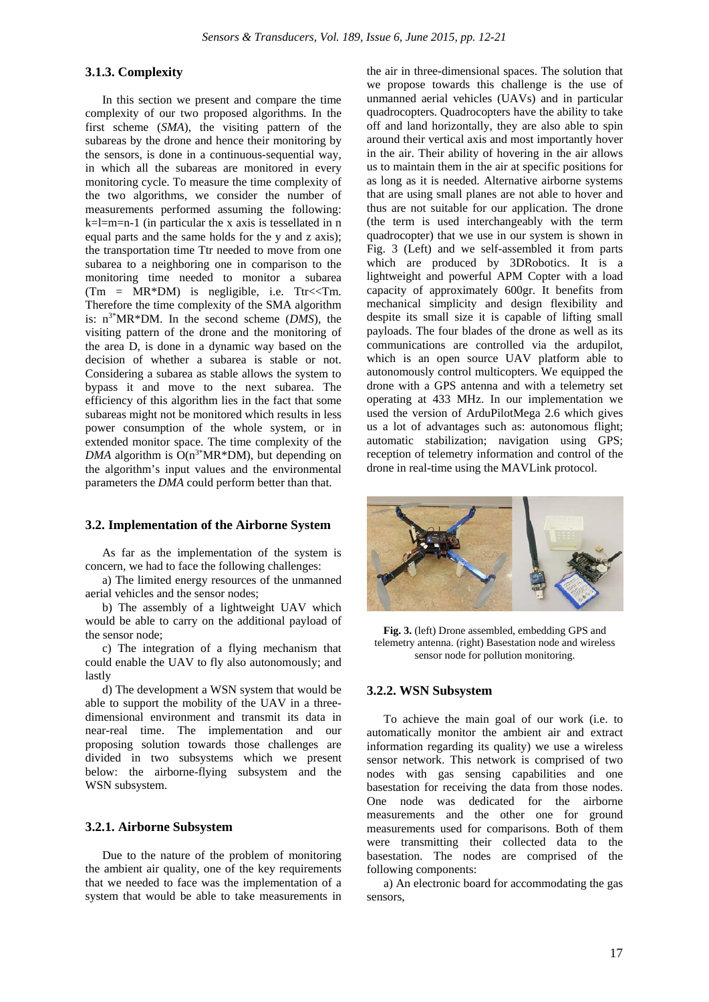# **3.1.3. Complexity**

In this section we present and compare the time complexity of our two proposed algorithms. In the first scheme (*SMA*), the visiting pattern of the subareas by the drone and hence their monitoring by the sensors, is done in a continuous-sequential way, in which all the subareas are monitored in every monitoring cycle. To measure the time complexity of the two algorithms, we consider the number of measurements performed assuming the following:  $k=l=m=n-1$  (in particular the x axis is tessellated in n equal parts and the same holds for the y and z axis); the transportation time Ttr needed to move from one subarea to a neighboring one in comparison to the monitoring time needed to monitor a subarea  $(Tm = MR*DM)$  is negligible, i.e. Ttr<<Tm. Therefore the time complexity of the SMA algorithm is: n3\*MR\*DM. In the second scheme (*DMS*), the visiting pattern of the drone and the monitoring of the area D, is done in a dynamic way based on the decision of whether a subarea is stable or not. Considering a subarea as stable allows the system to bypass it and move to the next subarea. The efficiency of this algorithm lies in the fact that some subareas might not be monitored which results in less power consumption of the whole system, or in extended monitor space. The time complexity of the  $DMA$  algorithm is  $O(n^{3*}MR*DM)$ , but depending on the algorithm's input values and the environmental parameters the *DMA* could perform better than that.

#### **3.2. Implementation of the Airborne System**

As far as the implementation of the system is concern, we had to face the following challenges:

a) The limited energy resources of the unmanned aerial vehicles and the sensor nodes;

b) The assembly of a lightweight UAV which would be able to carry on the additional payload of the sensor node;

c) The integration of a flying mechanism that could enable the UAV to fly also autonomously; and lastly

d) The development a WSN system that would be able to support the mobility of the UAV in a threedimensional environment and transmit its data in near-real time. The implementation and our proposing solution towards those challenges are divided in two subsystems which we present below: the airborne-flying subsystem and the WSN subsystem.

#### **3.2.1. Airborne Subsystem**

Due to the nature of the problem of monitoring the ambient air quality, one of the key requirements that we needed to face was the implementation of a system that would be able to take measurements in the air in three-dimensional spaces. The solution that we propose towards this challenge is the use of unmanned aerial vehicles (UAVs) and in particular quadrocopters. Quadrocopters have the ability to take off and land horizontally, they are also able to spin around their vertical axis and most importantly hover in the air. Their ability of hovering in the air allows us to maintain them in the air at specific positions for as long as it is needed. Alternative airborne systems that are using small planes are not able to hover and thus are not suitable for our application. The drone (the term is used interchangeably with the term quadrocopter) that we use in our system is shown in Fig. 3 (Left) and we self-assembled it from parts which are produced by 3DRobotics. It is a lightweight and powerful APM Copter with a load capacity of approximately 600gr. It benefits from mechanical simplicity and design flexibility and despite its small size it is capable of lifting small payloads. The four blades of the drone as well as its communications are controlled via the ardupilot, which is an open source UAV platform able to autonomously control multicopters. We equipped the drone with a GPS antenna and with a telemetry set operating at 433 MHz. In our implementation we used the version of ArduPilotMega 2.6 which gives us a lot of advantages such as: autonomous flight; automatic stabilization; navigation using GPS; reception of telemetry information and control of the drone in real-time using the MAVLink protocol.



**Fig. 3.** (left) Drone assembled, embedding GPS and telemetry antenna. (right) Basestation node and wireless sensor node for pollution monitoring.

#### **3.2.2. WSN Subsystem**

To achieve the main goal of our work (i.e. to automatically monitor the ambient air and extract information regarding its quality) we use a wireless sensor network. This network is comprised of two nodes with gas sensing capabilities and one basestation for receiving the data from those nodes. One node was dedicated for the airborne measurements and the other one for ground measurements used for comparisons. Both of them were transmitting their collected data to the basestation. The nodes are comprised of the following components:

a) An electronic board for accommodating the gas sensors,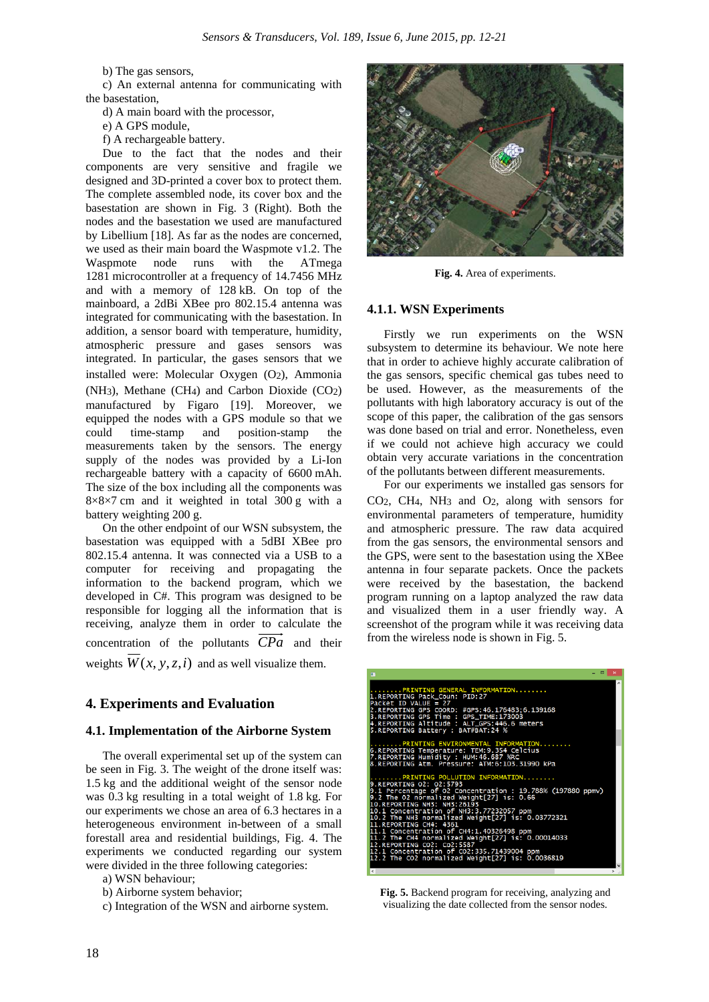b) The gas sensors,

c) An external antenna for communicating with the basestation,

d) A main board with the processor,

e) A GPS module,

f) A rechargeable battery.

Due to the fact that the nodes and their components are very sensitive and fragile we designed and 3D-printed a cover box to protect them. The complete assembled node, its cover box and the basestation are shown in Fig. 3 (Right). Both the nodes and the basestation we used are manufactured by Libellium [18]. As far as the nodes are concerned, we used as their main board the Waspmote v1.2. The Waspmote node runs with the ATmega 1281 microcontroller at a frequency of 14.7456 MHz and with a memory of 128 kB. On top of the mainboard, a 2dBi XBee pro 802.15.4 antenna was integrated for communicating with the basestation. In addition, a sensor board with temperature, humidity, atmospheric pressure and gases sensors was integrated. In particular, the gases sensors that we installed were: Molecular Oxygen (O2), Ammonia (NH3), Methane (CH4) and Carbon Dioxide (CO2) manufactured by Figaro [19]. Moreover, we equipped the nodes with a GPS module so that we<br>could time-stamp and position-stamp the could time-stamp and position-stamp the measurements taken by the sensors. The energy supply of the nodes was provided by a Li-Ion rechargeable battery with a capacity of 6600 mAh. The size of the box including all the components was  $8\times8\times7$  cm and it weighted in total 300 g with a battery weighting 200 g.

On the other endpoint of our WSN subsystem, the basestation was equipped with a 5dBI XBee pro 802.15.4 antenna. It was connected via a USB to a computer for receiving and propagating the information to the backend program, which we developed in C#. This program was designed to be responsible for logging all the information that is receiving, analyze them in order to calculate the concentration of the pollutants *CPa* and their weights  $\overline{W}(x, y, z, i)$  and as well visualize them.

# **4. Experiments and Evaluation**

#### **4.1. Implementation of the Airborne System**

The overall experimental set up of the system can be seen in Fig. 3. The weight of the drone itself was: 1.5 kg and the additional weight of the sensor node was 0.3 kg resulting in a total weight of 1.8 kg. For our experiments we chose an area of 6.3 hectares in a heterogeneous environment in-between of a small forestall area and residential buildings, Fig. 4. The experiments we conducted regarding our system were divided in the three following categories:

- a) WSN behaviour;
- b) Airborne system behavior;
- c) Integration of the WSN and airborne system.



**Fig. 4.** Area of experiments.

#### **4.1.1. WSN Experiments**

Firstly we run experiments on the WSN subsystem to determine its behaviour. We note here that in order to achieve highly accurate calibration of the gas sensors, specific chemical gas tubes need to be used. However, as the measurements of the pollutants with high laboratory accuracy is out of the scope of this paper, the calibration of the gas sensors was done based on trial and error. Nonetheless, even if we could not achieve high accuracy we could obtain very accurate variations in the concentration of the pollutants between different measurements.

For our experiments we installed gas sensors for CO2, CH4, NH3 and O2, along with sensors for environmental parameters of temperature, humidity and atmospheric pressure. The raw data acquired from the gas sensors, the environmental sensors and the GPS, were sent to the basestation using the XBee antenna in four separate packets. Once the packets were received by the basestation, the backend program running on a laptop analyzed the raw data and visualized them in a user friendly way. A screenshot of the program while it was receiving data from the wireless node is shown in Fig. 5.

| . a I<br>$\mathbf{x}$<br>ш                                                                                                                                                                                                                                                                                 |
|------------------------------------------------------------------------------------------------------------------------------------------------------------------------------------------------------------------------------------------------------------------------------------------------------------|
| PRINTING GENERAL INFORMATION<br>1.REPORTING Pack_Coun: PID:27<br>Packet ID VALUE = $27$<br>2.REPORTING GPS COORD: #GPS:46.176483:6.139168<br>3.REPORTING GPS Time : GPS_TIME:173003<br>4. REPORTING Altitude : ALT_GPS: 446.6 meters<br>5. REPORTING Battery : BAT#BAT: 24 %                               |
| $\ldots \ldots$ .PRINTING ENVIRONMENTAL INFORMATION<br>6.REPORTING Temperature: TEM:9.354 Celcius<br>7. REPORTING Humidity : HUM: 46.687 %RC<br>8.REPORTING Atm. Pressure: ATM:6:103.31990 kPa                                                                                                             |
| PRINTING POLLUTION INFORMATION<br>9. REPORTING 02: 02:5793<br>$9.1$ Percentage of 02 Concentration : 19.788% (197880 ppmv)<br>9.2 The 02 normalized Weight $[27]$ is: 0.66<br>10.REPORTING NH3: NH3:26193<br>10.1 Concentration of NH3:3.77232057 ppm<br>10.2 The NH3 normalized Weight[27] is: 0.03772321 |
| 11. REPORTING CH4: 4361<br>11.1 Concentration of CH4:1.40326498 ppm<br>11.2 The CH4 normalized Weight[27] is: 0.00014033<br>12. REPORTING CO2: Co2: 5587<br>12.1 Concentration of CO2:335.71439004 ppm<br>12.2 The CO2 normalized Weight[27] is: 0.0036819                                                 |

**Fig. 5.** Backend program for receiving, analyzing and visualizing the date collected from the sensor nodes.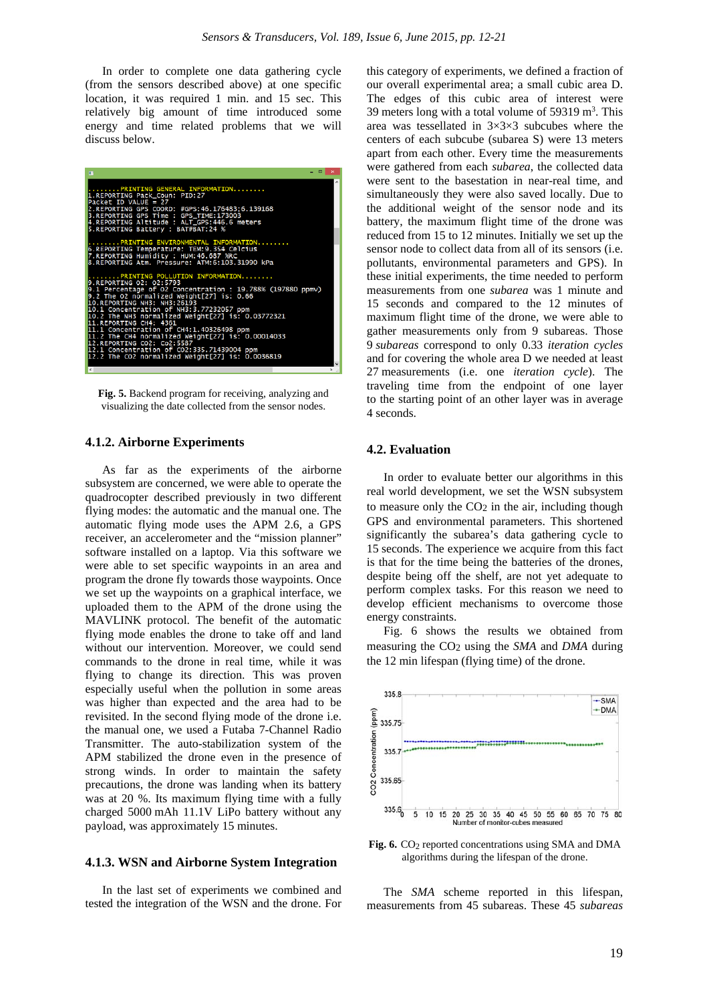In order to complete one data gathering cycle (from the sensors described above) at one specific location, it was required 1 min. and 15 sec. This relatively big amount of time introduced some energy and time related problems that we will discuss below.

| п                                                                                                                                                                                                                                                                           | $    -$ |
|-----------------------------------------------------------------------------------------------------------------------------------------------------------------------------------------------------------------------------------------------------------------------------|---------|
| PRINTING GENERAL INFORMATION<br>1. REPORTING Pack_Coun: PID:27<br>Packet ID VALUE = $27$<br>2.REPORTING GPS COORD: #GPS:46.176483:6.139168<br>3.REPORTING GPS Time : GPS_TIME:173003<br>4.REPORTING Altitude : ALT_GPS:446.6 meters<br>5. REPORTING Battery : BAT#BAT: 24 % | ۸       |
| PRINTING ENVIRONMENTAL INFORMATION                                                                                                                                                                                                                                          |         |
| 6.REPORTING Temperature: TEM:9.354 Celcius<br>7.REPORTING Humidity : HUM:46.687 %RC<br>8.REPORTING Atm. Pressure: ATM:6:103.31990 kPa                                                                                                                                       |         |
| PRINTING POLLUTION INFORMATION                                                                                                                                                                                                                                              |         |
| 9. REPORTING 02: 02:5793                                                                                                                                                                                                                                                    |         |
| 9.1 Percentage of O2 Concentration : 19.788% (197880 ppmv)<br>9.2 The O2 normalized Weight[27] is: 0.66<br>10.REPORTING NH3: NH3:26193                                                                                                                                      |         |
| 10.1 Concentration of NH3:3.77232057 ppm                                                                                                                                                                                                                                    |         |
| 10.2 The NH3 normalized Weight[27] is: 0.03772321<br>11. REPORTING CH4: 4361                                                                                                                                                                                                |         |
| 11.1 Concentration of CH4:1.40326498 ppm                                                                                                                                                                                                                                    |         |
| $11.2$ The CH4 normalized Weight $[27]$ is: $0.00014033$<br>12. REPORTING CO2: Co2: 5587                                                                                                                                                                                    |         |
| 12.1 Concentration of CO2:335.71439004 ppm                                                                                                                                                                                                                                  |         |
| 12.2 The CO2 normalized Weight[27] is: $0.0036819$                                                                                                                                                                                                                          |         |

**Fig. 5.** Backend program for receiving, analyzing and visualizing the date collected from the sensor nodes.

# **4.1.2. Airborne Experiments**

As far as the experiments of the airborne subsystem are concerned, we were able to operate the quadrocopter described previously in two different flying modes: the automatic and the manual one. The automatic flying mode uses the APM 2.6, a GPS receiver, an accelerometer and the "mission planner" software installed on a laptop. Via this software we were able to set specific waypoints in an area and program the drone fly towards those waypoints. Once we set up the waypoints on a graphical interface, we uploaded them to the APM of the drone using the MAVLINK protocol. The benefit of the automatic flying mode enables the drone to take off and land without our intervention. Moreover, we could send commands to the drone in real time, while it was flying to change its direction. This was proven especially useful when the pollution in some areas was higher than expected and the area had to be revisited. In the second flying mode of the drone i.e. the manual one, we used a Futaba 7-Channel Radio Transmitter. The auto-stabilization system of the APM stabilized the drone even in the presence of strong winds. In order to maintain the safety precautions, the drone was landing when its battery was at 20 %. Its maximum flying time with a fully charged 5000 mAh 11.1V LiPo battery without any payload, was approximately 15 minutes.

#### **4.1.3. WSN and Airborne System Integration**

In the last set of experiments we combined and tested the integration of the WSN and the drone. For this category of experiments, we defined a fraction of our overall experimental area; a small cubic area D. The edges of this cubic area of interest were 39 meters long with a total volume of 59319 m<sup>3</sup>. This area was tessellated in 3×3×3 subcubes where the centers of each subcube (subarea S) were 13 meters apart from each other. Every time the measurements were gathered from each *subarea*, the collected data were sent to the basestation in near-real time, and simultaneously they were also saved locally. Due to the additional weight of the sensor node and its battery, the maximum flight time of the drone was reduced from 15 to 12 minutes. Initially we set up the sensor node to collect data from all of its sensors (i.e. pollutants, environmental parameters and GPS). In these initial experiments, the time needed to perform measurements from one *subarea* was 1 minute and 15 seconds and compared to the 12 minutes of maximum flight time of the drone, we were able to gather measurements only from 9 subareas. Those 9 *subareas* correspond to only 0.33 *iteration cycles* and for covering the whole area D we needed at least 27 measurements (i.e. one *iteration cycle*). The traveling time from the endpoint of one layer to the starting point of an other layer was in average 4 seconds.

#### **4.2. Evaluation**

In order to evaluate better our algorithms in this real world development, we set the WSN subsystem to measure only the  $CO<sub>2</sub>$  in the air, including though GPS and environmental parameters. This shortened significantly the subarea's data gathering cycle to 15 seconds. The experience we acquire from this fact is that for the time being the batteries of the drones, despite being off the shelf, are not yet adequate to perform complex tasks. For this reason we need to develop efficient mechanisms to overcome those energy constraints.

Fig. 6 shows the results we obtained from measuring the CO2 using the *SMA* and *DMA* during the 12 min lifespan (flying time) of the drone.



Fig. 6. CO<sub>2</sub> reported concentrations using SMA and DMA algorithms during the lifespan of the drone.

The *SMA* scheme reported in this lifespan, measurements from 45 subareas. These 45 *subareas*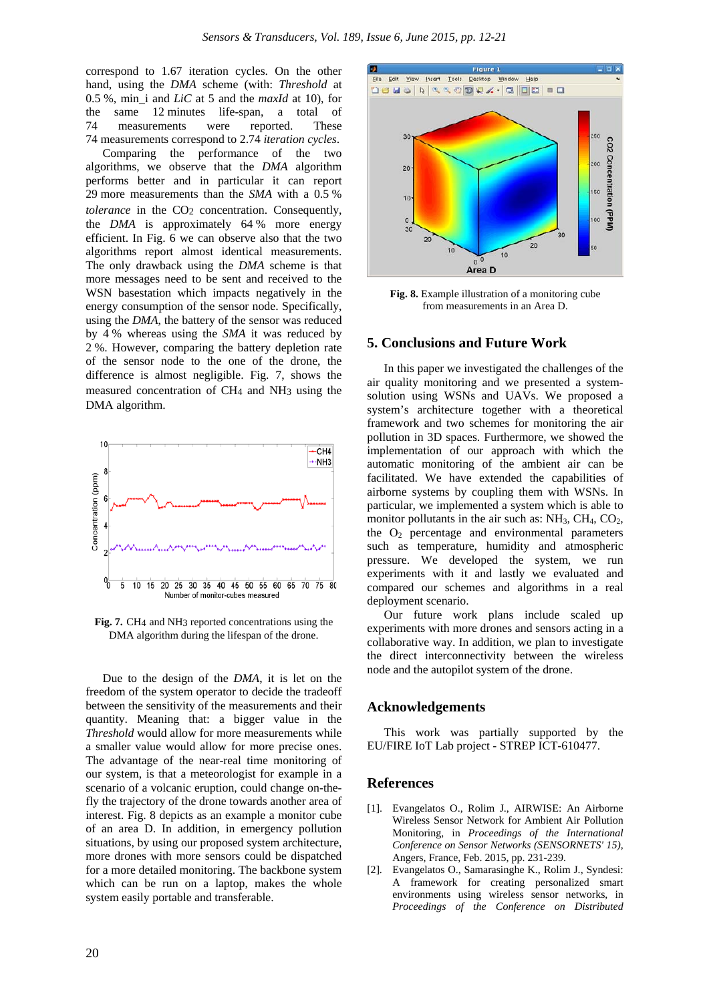correspond to 1.67 iteration cycles. On the other hand, using the *DMA* scheme (with: *Threshold* at 0.5 %, min\_i and *LiC* at 5 and the *maxId* at 10), for the same 12 minutes life-span, a total of 74 measurements were reported. These 74 measurements correspond to 2.74 *iteration cycles*.

Comparing the performance of the two algorithms, we observe that the *DMA* algorithm performs better and in particular it can report 29 more measurements than the *SMA* with a 0.5 % *tolerance* in the CO<sub>2</sub> concentration. Consequently, the *DMA* is approximately 64 % more energy efficient. In Fig. 6 we can observe also that the two algorithms report almost identical measurements. The only drawback using the *DMA* scheme is that more messages need to be sent and received to the WSN basestation which impacts negatively in the energy consumption of the sensor node. Specifically, using the *DMA*, the battery of the sensor was reduced by 4 % whereas using the *SMA* it was reduced by 2 %. However, comparing the battery depletion rate of the sensor node to the one of the drone, the difference is almost negligible. Fig. 7, shows the measured concentration of CH4 and NH3 using the DMA algorithm.



**Fig. 7.** CH4 and NH3 reported concentrations using the DMA algorithm during the lifespan of the drone.

Due to the design of the *DMA*, it is let on the freedom of the system operator to decide the tradeoff between the sensitivity of the measurements and their quantity. Meaning that: a bigger value in the *Threshold* would allow for more measurements while a smaller value would allow for more precise ones. The advantage of the near-real time monitoring of our system, is that a meteorologist for example in a scenario of a volcanic eruption, could change on-thefly the trajectory of the drone towards another area of interest. Fig. 8 depicts as an example a monitor cube of an area D. In addition, in emergency pollution situations, by using our proposed system architecture, more drones with more sensors could be dispatched for a more detailed monitoring. The backbone system which can be run on a laptop, makes the whole system easily portable and transferable.



**Fig. 8.** Example illustration of a monitoring cube from measurements in an Area D.

# **5. Conclusions and Future Work**

In this paper we investigated the challenges of the air quality monitoring and we presented a systemsolution using WSNs and UAVs. We proposed a system's architecture together with a theoretical framework and two schemes for monitoring the air pollution in 3D spaces. Furthermore, we showed the implementation of our approach with which the automatic monitoring of the ambient air can be facilitated. We have extended the capabilities of airborne systems by coupling them with WSNs. In particular, we implemented a system which is able to monitor pollutants in the air such as:  $NH<sub>3</sub>$ ,  $CH<sub>4</sub>$ ,  $CO<sub>2</sub>$ , the  $O_2$  percentage and environmental parameters such as temperature, humidity and atmospheric pressure. We developed the system, we run experiments with it and lastly we evaluated and compared our schemes and algorithms in a real deployment scenario.

Our future work plans include scaled up experiments with more drones and sensors acting in a collaborative way. In addition, we plan to investigate the direct interconnectivity between the wireless node and the autopilot system of the drone.

#### **Acknowledgements**

This work was partially supported by the EU/FIRE IoT Lab project - STREP ICT-610477.

# **References**

- [1]. Evangelatos O., Rolim J., AIRWISE: An Airborne Wireless Sensor Network for Ambient Air Pollution Monitoring, in *Proceedings of the International Conference on Sensor Networks (SENSORNETS' 15)*, Angers, France, Feb. 2015, pp. 231-239.
- [2]. Evangelatos O., Samarasinghe K., Rolim J., Syndesi: A framework for creating personalized smart environments using wireless sensor networks, in *Proceedings of the Conference on Distributed*